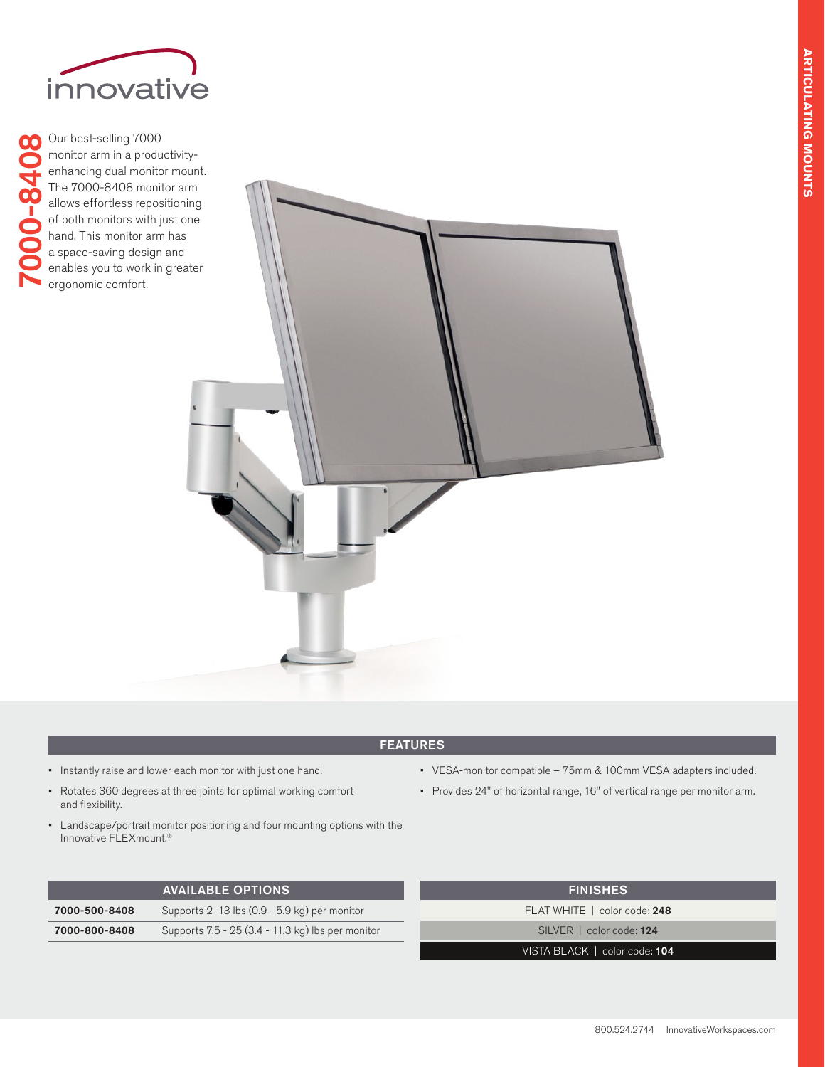

Our best-selling 7000 00 7000-8408monitor arm in a productivityenhancing dual monitor mount. 00-84 The 7000-8408 monitor arm allows effortless repositioning of both monitors with just one hand. This monitor arm has a space-saving design and enables you to work in greater ergonomic comfort.



## FEATURES

- Instantly raise and lower each monitor with just one hand.
- Rotates 360 degrees at three joints for optimal working comfort and flexibility.
- Landscape/portrait monitor positioning and four mounting options with the Innovative FLEXmount.®

|               | <b>AVAILABLE OPTIONS</b>                           |
|---------------|----------------------------------------------------|
| 7000-500-8408 | Supports $2 - 13$ lbs $(0.9 - 5.9$ kg) per monitor |
| 7000-800-8408 | Supports 7.5 - 25 (3.4 - 11.3 kg) lbs per monitor  |

• Provides 24" of horizontal range, 16" of vertical range per monitor arm.

| <b>FINISHES</b>               |
|-------------------------------|
| FLAT WHITE   color code: 248  |
| SILVER   color code: 124      |
| VISTA BLACK   color code: 104 |